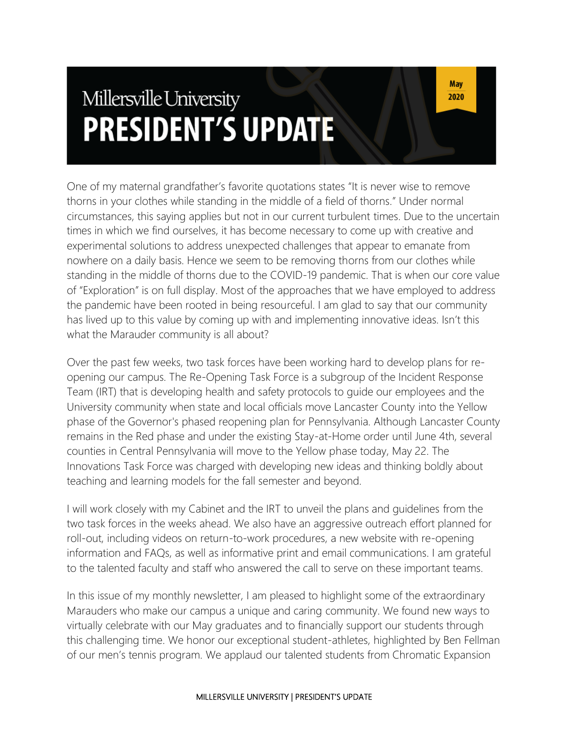# Millersville University **PRESIDENT'S UPDATE**

One of my maternal grandfather's favorite quotations states "It is never wise to remove thorns in your clothes while standing in the middle of a field of thorns." Under normal circumstances, this saying applies but not in our current turbulent times. Due to the uncertain times in which we find ourselves, it has become necessary to come up with creative and experimental solutions to address unexpected challenges that appear to emanate from nowhere on a daily basis. Hence we seem to be removing thorns from our clothes while standing in the middle of thorns due to the COVID-19 pandemic. That is when our core value of "Exploration" is on full display. Most of the approaches that we have employed to address the pandemic have been rooted in being resourceful. I am glad to say that our community has lived up to this value by coming up with and implementing innovative ideas. Isn't this what the Marauder community is all about?

Over the past few weeks, two task forces have been working hard to develop plans for reopening our campus. The Re-Opening Task Force is a subgroup of the Incident Response Team (IRT) that is developing health and safety protocols to guide our employees and the University community when state and local officials move Lancaster County into the Yellow phase of the Governor's phased reopening plan for Pennsylvania. Although Lancaster County remains in the Red phase and under the existing Stay-at-Home order until June 4th, several counties in Central Pennsylvania will move to the Yellow phase today, May 22. The Innovations Task Force was charged with developing new ideas and thinking boldly about teaching and learning models for the fall semester and beyond.

I will work closely with my Cabinet and the IRT to unveil the plans and guidelines from the two task forces in the weeks ahead. We also have an aggressive outreach effort planned for roll-out, including videos on return-to-work procedures, a new website with re-opening information and FAQs, as well as informative print and email communications. I am grateful to the talented faculty and staff who answered the call to serve on these important teams.

In this issue of my monthly newsletter, I am pleased to highlight some of the extraordinary Marauders who make our campus a unique and caring community. We found new ways to virtually celebrate with our May graduates and to financially support our students through this challenging time. We honor our exceptional student-athletes, highlighted by Ben Fellman of our men's tennis program. We applaud our talented students from Chromatic Expansion

#### MILLERSVILLE UNIVERSITY | PRESIDENT'S UPDATE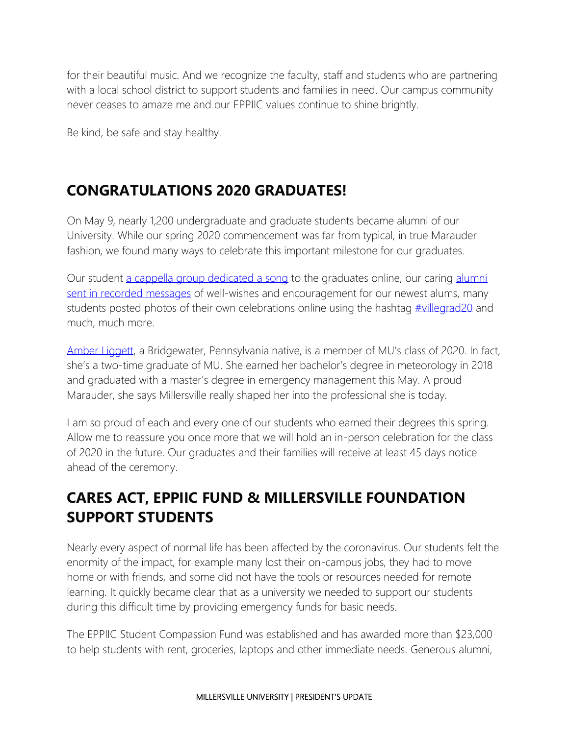for their beautiful music. And we recognize the faculty, staff and students who are partnering with a local school district to support students and families in need. Our campus community never ceases to amaze me and our EPPIIC values continue to shine brightly.

Be kind, be safe and stay healthy.

#### **CONGRATULATIONS 2020 GRADUATES!**

On May 9, nearly 1,200 undergraduate and graduate students became alumni of our University. While our spring 2020 commencement was far from typical, in true Marauder fashion, we found many ways to celebrate this important milestone for our graduates.

Our student [a cappella group dedicated a song](https://www.facebook.com/watch/?v=2626900840915293) to the graduates online, our caring [alumni](https://www.instagram.com/tv/B_716HmAwAp/?utm_source=ig_web_copy_link)  [sent in recorded messages](https://www.instagram.com/tv/B_716HmAwAp/?utm_source=ig_web_copy_link) of well-wishes and encouragement for our newest alums, many students posted photos of their own celebrations online using the hashtag [#villegrad20](https://www.instagram.com/explore/tags/villegrad20/) and much, much more.

[Amber Liggett](https://blogs.millersville.edu/news/2020/05/15/this-2-time-mu-grad-has-an-unusual-side-business/), a Bridgewater, Pennsylvania native, is a member of MU's class of 2020. In fact, she's a two-time graduate of MU. She earned her bachelor's degree in meteorology in 2018 and graduated with a master's degree in emergency management this May. A proud Marauder, she says Millersville really shaped her into the professional she is today.

I am so proud of each and every one of our students who earned their degrees this spring. Allow me to reassure you once more that we will hold an in-person celebration for the class of 2020 in the future. Our graduates and their families will receive at least 45 days notice ahead of the ceremony.

## **CARES ACT, EPPIIC FUND & MILLERSVILLE FOUNDATION SUPPORT STUDENTS**

Nearly every aspect of normal life has been affected by the coronavirus. Our students felt the enormity of the impact, for example many lost their on-campus jobs, they had to move home or with friends, and some did not have the tools or resources needed for remote learning. It quickly became clear that as a university we needed to support our students during this difficult time by providing emergency funds for basic needs.

The EPPIIC Student Compassion Fund was established and has awarded more than \$23,000 to help students with rent, groceries, laptops and other immediate needs. Generous alumni,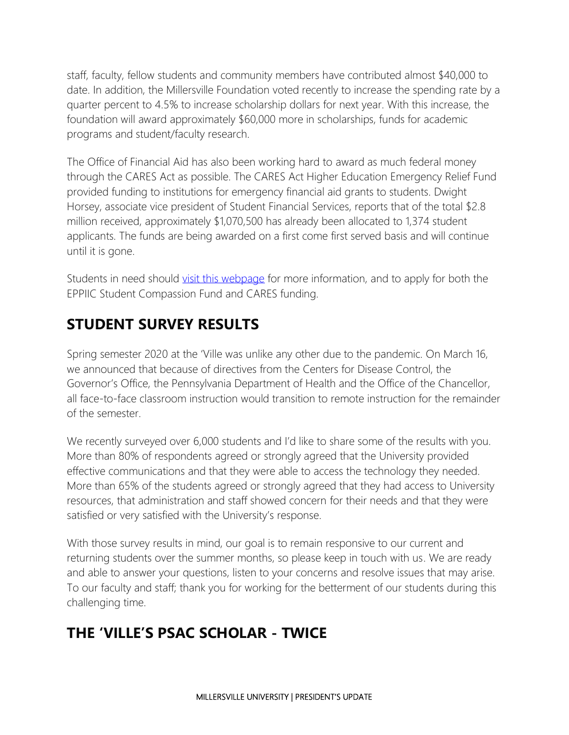staff, faculty, fellow students and community members have contributed almost \$40,000 to date. In addition, the Millersville Foundation voted recently to increase the spending rate by a quarter percent to 4.5% to increase scholarship dollars for next year. With this increase, the foundation will award approximately \$60,000 more in scholarships, funds for academic programs and student/faculty research.

The Office of Financial Aid has also been working hard to award as much federal money through the CARES Act as possible. The CARES Act Higher Education Emergency Relief Fund provided funding to institutions for emergency financial aid grants to students. Dwight Horsey, associate vice president of Student Financial Services, reports that of the total \$2.8 million received, approximately \$1,070,500 has already been allocated to 1,374 student applicants. The funds are being awarded on a first come first served basis and will continue until it is gone.

Students in need should [visit this webpage](https://www.millersville.edu/currentstudents/students-in-need/index.php) for more information, and to apply for both the EPPIIC Student Compassion Fund and CARES funding.

### **STUDENT SURVEY RESULTS**

Spring semester 2020 at the 'Ville was unlike any other due to the pandemic. On March 16, we announced that because of directives from the Centers for Disease Control, the Governor's Office, the Pennsylvania Department of Health and the Office of the Chancellor, all face-to-face classroom instruction would transition to remote instruction for the remainder of the semester.

We recently surveyed over 6,000 students and I'd like to share some of the results with you. More than 80% of respondents agreed or strongly agreed that the University provided effective communications and that they were able to access the technology they needed. More than 65% of the students agreed or strongly agreed that they had access to University resources, that administration and staff showed concern for their needs and that they were satisfied or very satisfied with the University's response.

With those survey results in mind, our goal is to remain responsive to our current and returning students over the summer months, so please keep in touch with us. We are ready and able to answer your questions, listen to your concerns and resolve issues that may arise. To our faculty and staff; thank you for working for the betterment of our students during this challenging time.

# **THE 'VILLE'S PSAC SCHOLAR - TWICE**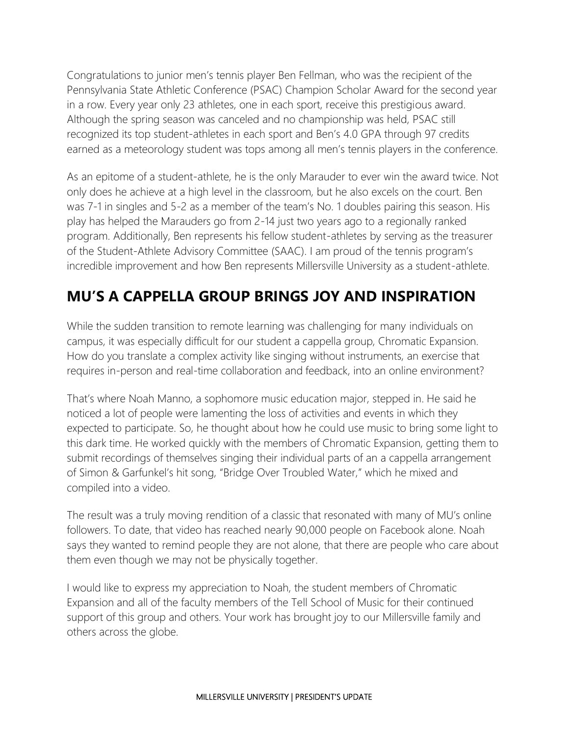Congratulations to junior men's tennis player Ben Fellman, who was the recipient of the Pennsylvania State Athletic Conference (PSAC) Champion Scholar Award for the second year in a row. Every year only 23 athletes, one in each sport, receive this prestigious award. Although the spring season was canceled and no championship was held, PSAC still recognized its top student-athletes in each sport and Ben's 4.0 GPA through 97 credits earned as a meteorology student was tops among all men's tennis players in the conference.

As an epitome of a student-athlete, he is the only Marauder to ever win the award twice. Not only does he achieve at a high level in the classroom, but he also excels on the court. Ben was 7-1 in singles and 5-2 as a member of the team's No. 1 doubles pairing this season. His play has helped the Marauders go from 2-14 just two years ago to a regionally ranked program. Additionally, Ben represents his fellow student-athletes by serving as the treasurer of the Student-Athlete Advisory Committee (SAAC). I am proud of the tennis program's incredible improvement and how Ben represents Millersville University as a student-athlete.

# **MU'S A CAPPELLA GROUP BRINGS JOY AND INSPIRATION**

While the sudden transition to remote learning was challenging for many individuals on campus, it was especially difficult for our student a cappella group, Chromatic Expansion. How do you translate a complex activity like singing without instruments, an exercise that requires in-person and real-time collaboration and feedback, into an online environment?

That's where Noah Manno, a sophomore music education major, stepped in. He said he noticed a lot of people were lamenting the loss of activities and events in which they expected to participate. So, he thought about how he could use music to bring some light to this dark time. He worked quickly with the members of Chromatic Expansion, getting them to submit recordings of themselves singing their individual parts of an a cappella arrangement of Simon & Garfunkel's hit song, "Bridge Over Troubled Water," which he mixed and compiled into a video.

The result was a truly moving rendition of a classic that resonated with many of MU's online followers. To date, that video has reached nearly 90,000 people on Facebook alone. Noah says they wanted to remind people they are not alone, that there are people who care about them even though we may not be physically together.

I would like to express my appreciation to Noah, the student members of Chromatic Expansion and all of the faculty members of the Tell School of Music for their continued support of this group and others. Your work has brought joy to our Millersville family and others across the globe.